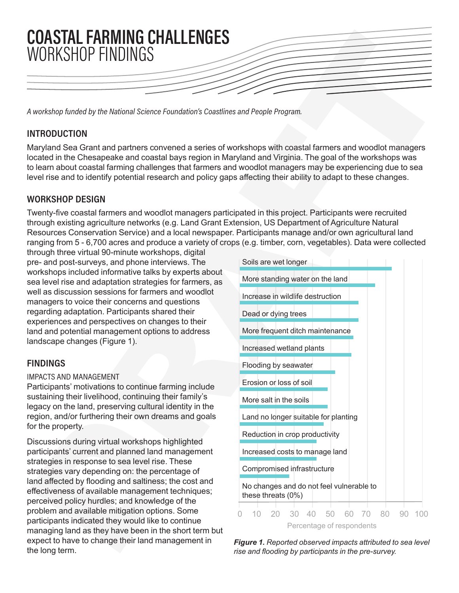

A workshop funded by the National Science Foundation's Coastlines and People Program.

# **INTRODUCTION**

Maryland Sea Grant and partners convened a series of workshops with coastal farmers and woodlot managers located in the Chesapeake and coastal bays region in Maryland and Virginia. The goal of the workshops was to learn about coastal farming challenges that farmers and woodlot managers may be experiencing due to sea level rise and to identify potential research and policy gaps affecting their ability to adapt to these changes.

## WORKSHOP DESIGN

Twenty-five coastal farmers and woodlot managers participated in this project. Participants were recruited through existing agriculture networks (e.g. Land Grant Extension, US Department of Agriculture Natural Resources Conservation Service) and a local newspaper. Participants manage and/or own agricultural land ranging from 5 - 6,700 acres and produce a variety of crops (e.g. timber, corn, vegetables). Data were collected

through three virtual 90-minute workshops, digital pre- and post-surveys, and phone interviews. The workshops included informative talks by experts about sea level rise and adaptation strategies for farmers, as well as discussion sessions for farmers and woodlot managers to voice their concerns and questions regarding adaptation. Participants shared their experiences and perspectives on changes to their land and potential management options to address landscape changes (Figure 1).

# **FINDINGS**

### **IMPACTS AND MANAGEMENT**

Participants' motivations to continue farming include sustaining their livelihood, continuing their family's legacy on the land, preserving cultural identity in the region, and/or furthering their own dreams and goals for the property.

Discussions during virtual workshops highlighted participants' current and planned land management strategies in response to sea level rise. These strategies vary depending on: the percentage of land affected by flooding and saltiness; the cost and effectiveness of available management techniques; perceived policy hurdles; and knowledge of the problem and available mitigation options. Some participants indicated they would like to continue managing land as they have been in the short term but expect to have to change their land management in the long term.



*Figure 1. Reported observed impacts attributed to sea level*  rise and flooding by participants in the pre-survey.